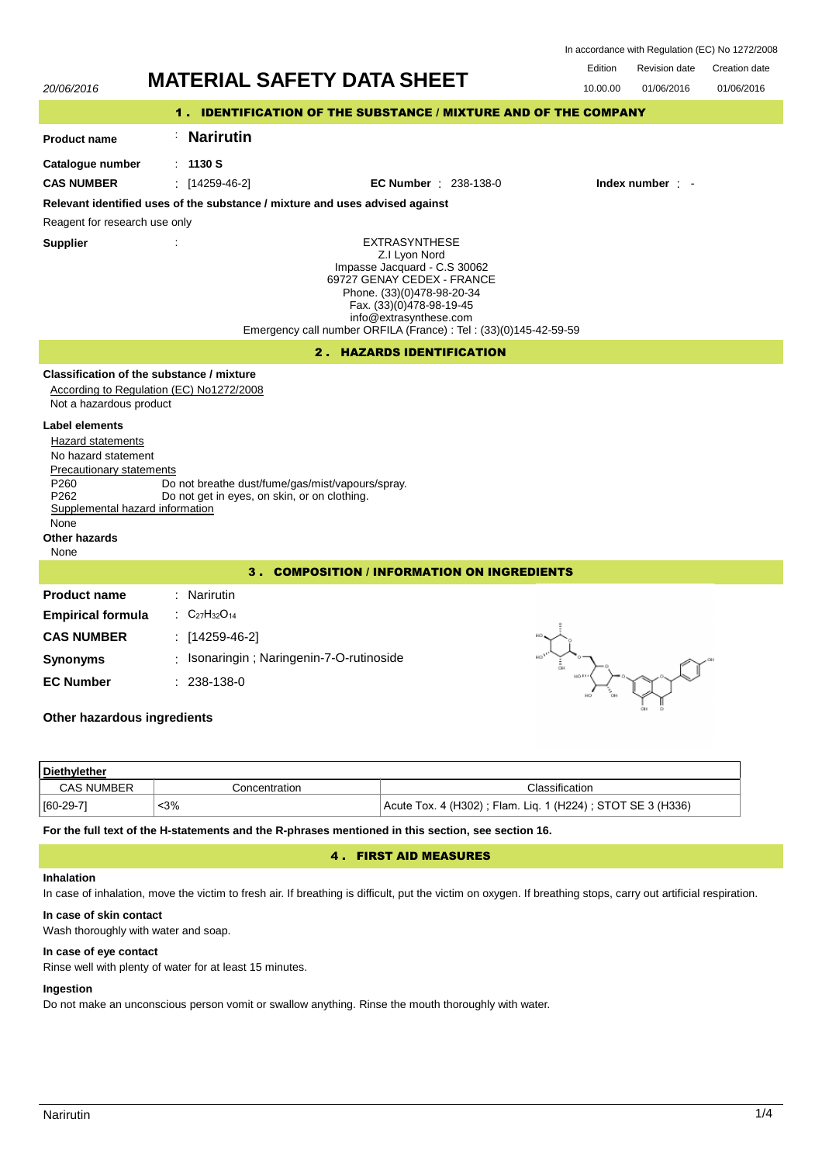In accordance with Regulation (EC) No 1272/2008

Revision date Edition Dovision date Creation date

| 20/06/2016                                                                                                                                                                                         | <b>MATERIAL SAFETY DATA SHEET</b>                                                                                                                                                                                                                            | <b>Edition</b><br>Revision date<br>Creation date<br>10.00.00<br>01/06/2016<br>01/06/2016 |  |  |  |
|----------------------------------------------------------------------------------------------------------------------------------------------------------------------------------------------------|--------------------------------------------------------------------------------------------------------------------------------------------------------------------------------------------------------------------------------------------------------------|------------------------------------------------------------------------------------------|--|--|--|
| <b>IDENTIFICATION OF THE SUBSTANCE / MIXTURE AND OF THE COMPANY</b><br>1.                                                                                                                          |                                                                                                                                                                                                                                                              |                                                                                          |  |  |  |
| <b>Product name</b>                                                                                                                                                                                | <b>Narirutin</b>                                                                                                                                                                                                                                             |                                                                                          |  |  |  |
| Catalogue number                                                                                                                                                                                   | : 1130S                                                                                                                                                                                                                                                      |                                                                                          |  |  |  |
| <b>CAS NUMBER</b>                                                                                                                                                                                  | $\frac{1}{2}$ [14259-46-2]<br><b>EC Number</b> : 238-138-0                                                                                                                                                                                                   | Index number : -                                                                         |  |  |  |
|                                                                                                                                                                                                    | Relevant identified uses of the substance / mixture and uses advised against                                                                                                                                                                                 |                                                                                          |  |  |  |
| Reagent for research use only                                                                                                                                                                      |                                                                                                                                                                                                                                                              |                                                                                          |  |  |  |
| <b>Supplier</b>                                                                                                                                                                                    | <b>EXTRASYNTHESE</b><br>Z.I Lyon Nord<br>Impasse Jacquard - C.S 30062<br>69727 GENAY CEDEX - FRANCE<br>Phone. (33)(0)478-98-20-34<br>Fax. (33)(0)478-98-19-45<br>info@extrasynthese.com<br>Emergency call number ORFILA (France) : Tel : (33)(0)145-42-59-59 |                                                                                          |  |  |  |
| <b>HAZARDS IDENTIFICATION</b><br>$2$ .                                                                                                                                                             |                                                                                                                                                                                                                                                              |                                                                                          |  |  |  |
| Not a hazardous product                                                                                                                                                                            | Classification of the substance / mixture<br>According to Regulation (EC) No1272/2008                                                                                                                                                                        |                                                                                          |  |  |  |
| Label elements<br>Hazard statements<br>No hazard statement<br>Precautionary statements<br>P <sub>260</sub><br>P <sub>262</sub><br>Supplemental hazard information<br>None<br>Other hazards<br>None | Do not breathe dust/fume/gas/mist/vapours/spray.<br>Do not get in eyes, on skin, or on clothing.                                                                                                                                                             |                                                                                          |  |  |  |
| <b>3. COMPOSITION / INFORMATION ON INGREDIENTS</b>                                                                                                                                                 |                                                                                                                                                                                                                                                              |                                                                                          |  |  |  |
| <b>Product name</b><br><b>Empirical formula</b><br><b>CAS NUMBER</b>                                                                                                                               | Narirutin<br>$C_{27}H_{32}O_{14}$<br>$[14259-46-2]$                                                                                                                                                                                                          |                                                                                          |  |  |  |
| <b>Synonyms</b>                                                                                                                                                                                    | Isonaringin ; Naringenin-7-O-rutinoside                                                                                                                                                                                                                      |                                                                                          |  |  |  |
| <b>EC Number</b><br>238-138-0<br>Other hazardous ingredients                                                                                                                                       |                                                                                                                                                                                                                                                              |                                                                                          |  |  |  |
|                                                                                                                                                                                                    |                                                                                                                                                                                                                                                              |                                                                                          |  |  |  |

| Diethylether      |               |                                                            |  |  |
|-------------------|---------------|------------------------------------------------------------|--|--|
| <b>CAS NUMBER</b> | Concentration | Classification                                             |  |  |
| [60-29-7]         | <3%           | Acute Tox. 4 (H302); Flam. Lig. 1 (H224); STOT SE 3 (H336) |  |  |

**For the full text of the H-statements and the R-phrases mentioned in this section, see section 16.**

# 4 . FIRST AID MEASURES

# **Inhalation**

In case of inhalation, move the victim to fresh air. If breathing is difficult, put the victim on oxygen. If breathing stops, carry out artificial respiration.

# **In case of skin contact**

Wash thoroughly with water and soap.

# **In case of eye contact**

Rinse well with plenty of water for at least 15 minutes.

## **Ingestion**

Do not make an unconscious person vomit or swallow anything. Rinse the mouth thoroughly with water.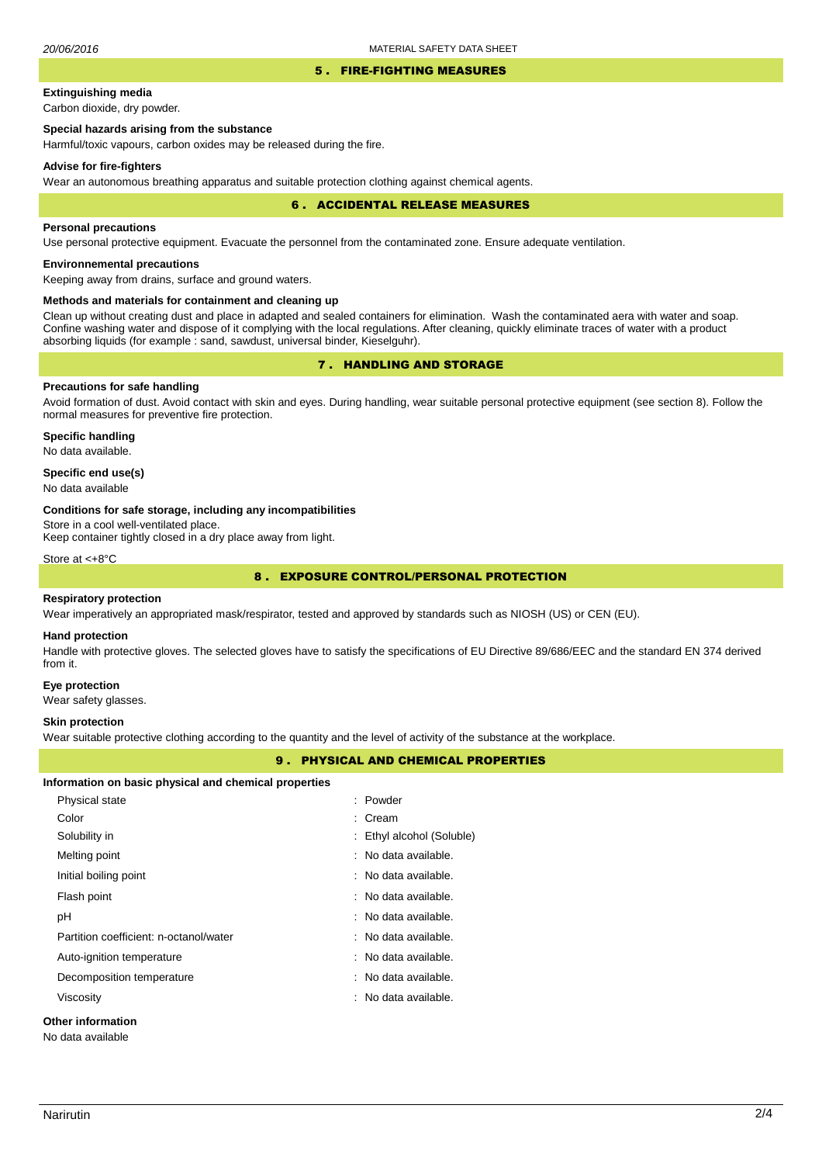### 5 . FIRE-FIGHTING MEASURES

# **Extinguishing media**

Carbon dioxide, dry powder.

# **Special hazards arising from the substance**

Harmful/toxic vapours, carbon oxides may be released during the fire.

### **Advise for fire-fighters**

Wear an autonomous breathing apparatus and suitable protection clothing against chemical agents.

### 6 . ACCIDENTAL RELEASE MEASURES

### **Personal precautions**

Use personal protective equipment. Evacuate the personnel from the contaminated zone. Ensure adequate ventilation.

# **Environnemental precautions**

Keeping away from drains, surface and ground waters.

### **Methods and materials for containment and cleaning up**

Clean up without creating dust and place in adapted and sealed containers for elimination. Wash the contaminated aera with water and soap. Confine washing water and dispose of it complying with the local regulations. After cleaning, quickly eliminate traces of water with a product absorbing liquids (for example : sand, sawdust, universal binder, Kieselguhr).

# 7 . HANDLING AND STORAGE

## **Precautions for safe handling**

Avoid formation of dust. Avoid contact with skin and eyes. During handling, wear suitable personal protective equipment (see section 8). Follow the normal measures for preventive fire protection.

**Specific handling** No data available.

### **Specific end use(s)**

No data available

### **Conditions for safe storage, including any incompatibilities**

Store in a cool well-ventilated place.

Keep container tightly closed in a dry place away from light.

Store at <+8°C

# 8 . EXPOSURE CONTROL/PERSONAL PROTECTION

### **Respiratory protection**

Wear imperatively an appropriated mask/respirator, tested and approved by standards such as NIOSH (US) or CEN (EU).

#### **Hand protection**

Handle with protective gloves. The selected gloves have to satisfy the specifications of EU Directive 89/686/EEC and the standard EN 374 derived from it.

### **Eye protection**

Wear safety glasses.

### **Skin protection**

Wear suitable protective clothing according to the quantity and the level of activity of the substance at the workplace.

## 9 . PHYSICAL AND CHEMICAL PROPERTIES

| Information on basic physical and chemical properties |                           |  |  |  |
|-------------------------------------------------------|---------------------------|--|--|--|
| <b>Physical state</b>                                 | : Powder                  |  |  |  |
| Color                                                 | : Cream                   |  |  |  |
| Solubility in                                         | : Ethyl alcohol (Soluble) |  |  |  |
| Melting point                                         | : No data available.      |  |  |  |
| Initial boiling point                                 | : No data available.      |  |  |  |
| Flash point                                           | : No data available.      |  |  |  |
| рH                                                    | : No data available.      |  |  |  |
| Partition coefficient: n-octanol/water                | : No data available.      |  |  |  |
| Auto-ignition temperature                             | : No data available.      |  |  |  |
| Decomposition temperature                             | : No data available.      |  |  |  |
| Viscosity                                             | : No data available.      |  |  |  |
| Other information                                     |                           |  |  |  |

No data available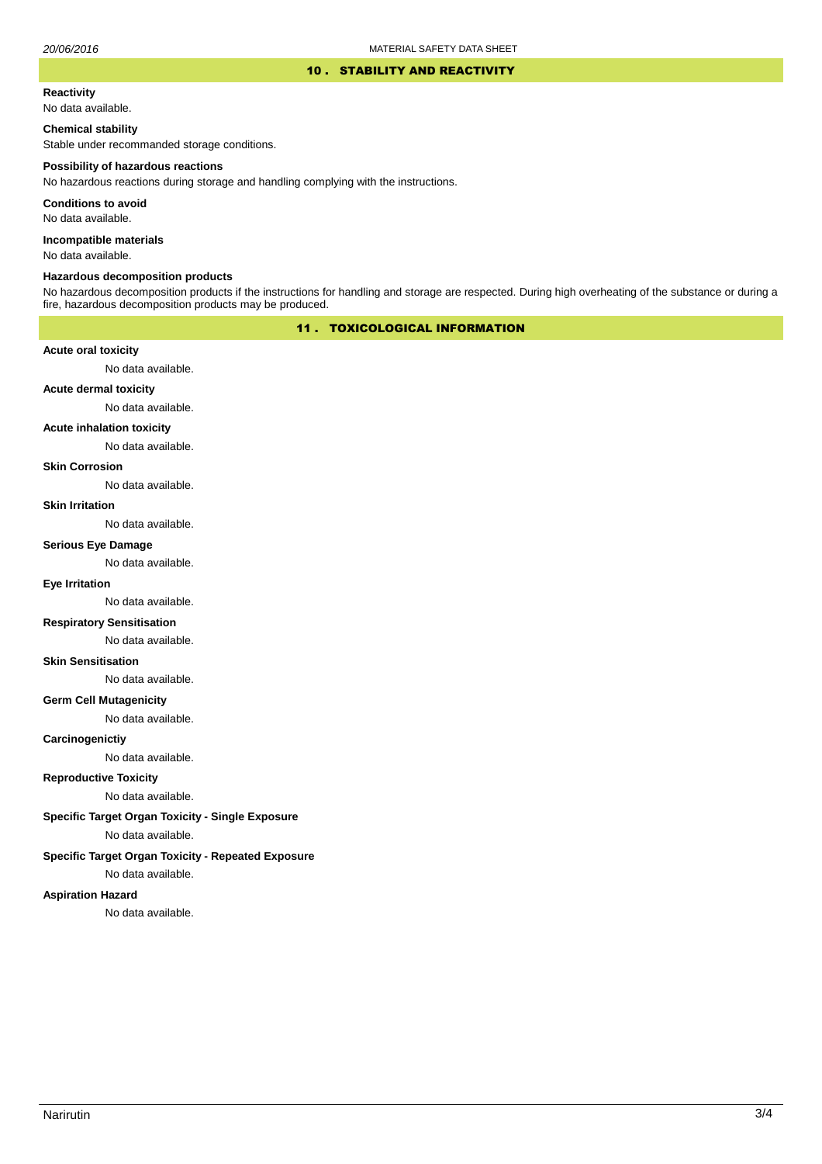### 10 . STABILITY AND REACTIVITY

#### **Reactivity**

No data available.

## **Chemical stability**

Stable under recommanded storage conditions.

#### **Possibility of hazardous reactions**

No hazardous reactions during storage and handling complying with the instructions.

**Conditions to avoid**

No data available.

**Incompatible materials**

No data available.

## **Hazardous decomposition products**

No hazardous decomposition products if the instructions for handling and storage are respected. During high overheating of the substance or during a fire, hazardous decomposition products may be produced.

# 11 . TOXICOLOGICAL INFORMATION

## **Acute oral toxicity**

No data available.

# **Acute dermal toxicity**

No data available.

#### **Acute inhalation toxicity**

No data available.

## **Skin Corrosion**

No data available.

#### **Skin Irritation**

No data available.

# **Serious Eye Damage**

No data available.

## **Eye Irritation**

No data available.

## **Respiratory Sensitisation**

No data available.

### **Skin Sensitisation**

No data available.

## **Germ Cell Mutagenicity**

No data available.

## **Carcinogenictiy**

No data available.

# **Reproductive Toxicity**

No data available.

# **Specific Target Organ Toxicity - Single Exposure**

No data available.

## **Specific Target Organ Toxicity - Repeated Exposure**

No data available.

### **Aspiration Hazard**

No data available.